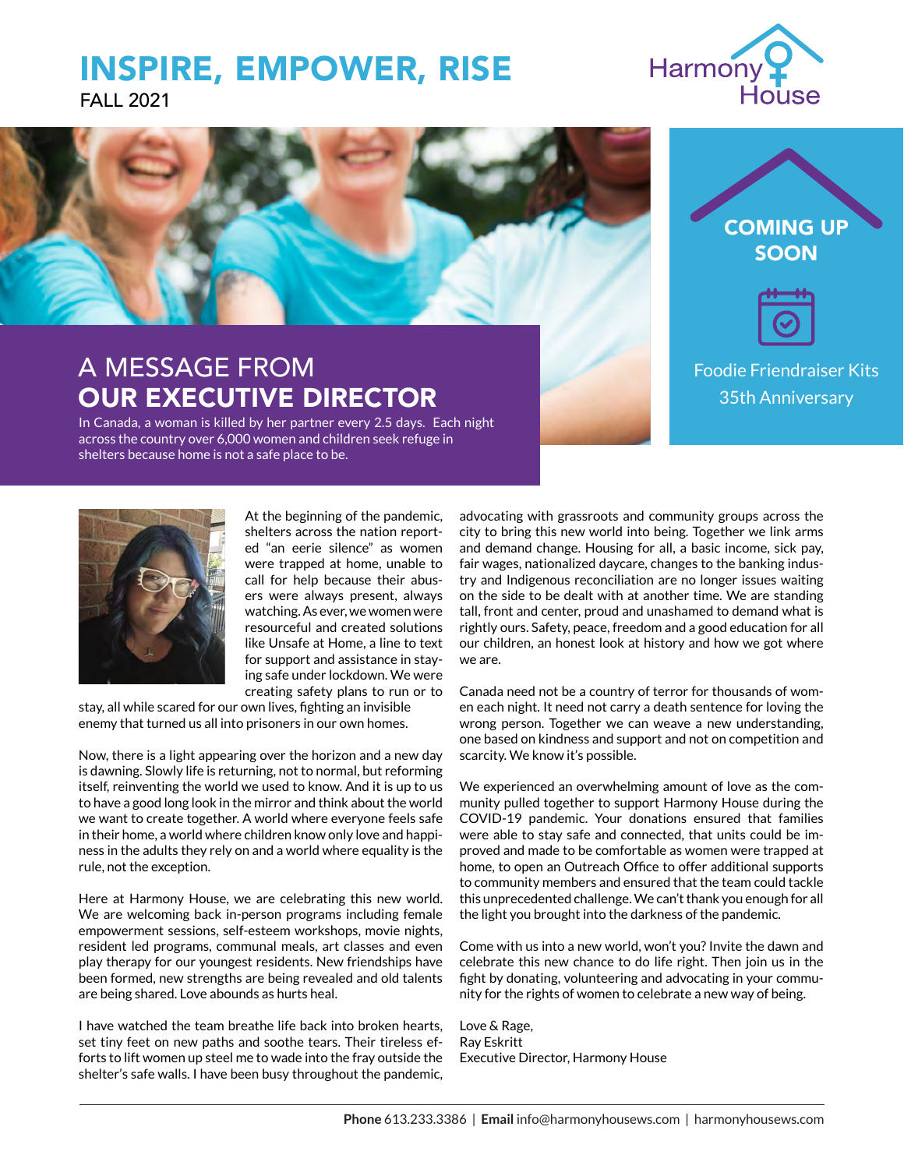## INSPIRE, EMPOWER, RISE FALL 2021





# A MESSAGE FROM OUR EXECUTIVE DIRECTOR

In Canada, a woman is killed by her partner every 2.5 days. Each night across the country over 6,000 women and children seek refuge in shelters because home is not a safe place to be.



Foodie Friendraiser Kits 35th Anniversary



At the beginning of the pandemic, shelters across the nation reported "an eerie silence" as women were trapped at home, unable to call for help because their abusers were always present, always watching. As ever, we women were resourceful and created solutions like Unsafe at Home, a line to text for support and assistance in staying safe under lockdown. We were creating safety plans to run or to

stay, all while scared for our own lives, fighting an invisible enemy that turned us all into prisoners in our own homes.

Now, there is a light appearing over the horizon and a new day is dawning. Slowly life is returning, not to normal, but reforming itself, reinventing the world we used to know. And it is up to us to have a good long look in the mirror and think about the world we want to create together. A world where everyone feels safe in their home, a world where children know only love and happiness in the adults they rely on and a world where equality is the rule, not the exception.

Here at Harmony House, we are celebrating this new world. We are welcoming back in-person programs including female empowerment sessions, self-esteem workshops, movie nights, resident led programs, communal meals, art classes and even play therapy for our youngest residents. New friendships have been formed, new strengths are being revealed and old talents are being shared. Love abounds as hurts heal.

I have watched the team breathe life back into broken hearts, set tiny feet on new paths and soothe tears. Their tireless efforts to lift women up steel me to wade into the fray outside the shelter's safe walls. I have been busy throughout the pandemic,

advocating with grassroots and community groups across the city to bring this new world into being. Together we link arms and demand change. Housing for all, a basic income, sick pay, fair wages, nationalized daycare, changes to the banking industry and Indigenous reconciliation are no longer issues waiting on the side to be dealt with at another time. We are standing tall, front and center, proud and unashamed to demand what is rightly ours. Safety, peace, freedom and a good education for all our children, an honest look at history and how we got where we are.

Canada need not be a country of terror for thousands of women each night. It need not carry a death sentence for loving the wrong person. Together we can weave a new understanding, one based on kindness and support and not on competition and scarcity. We know it's possible.

We experienced an overwhelming amount of love as the community pulled together to support Harmony House during the COVID-19 pandemic. Your donations ensured that families were able to stay safe and connected, that units could be improved and made to be comfortable as women were trapped at home, to open an Outreach Office to offer additional supports to community members and ensured that the team could tackle this unprecedented challenge. We can't thank you enough for all the light you brought into the darkness of the pandemic.

Come with us into a new world, won't you? Invite the dawn and celebrate this new chance to do life right. Then join us in the fight by donating, volunteering and advocating in your community for the rights of women to celebrate a new way of being.

Love & Rage, Ray Eskritt Executive Director, Harmony House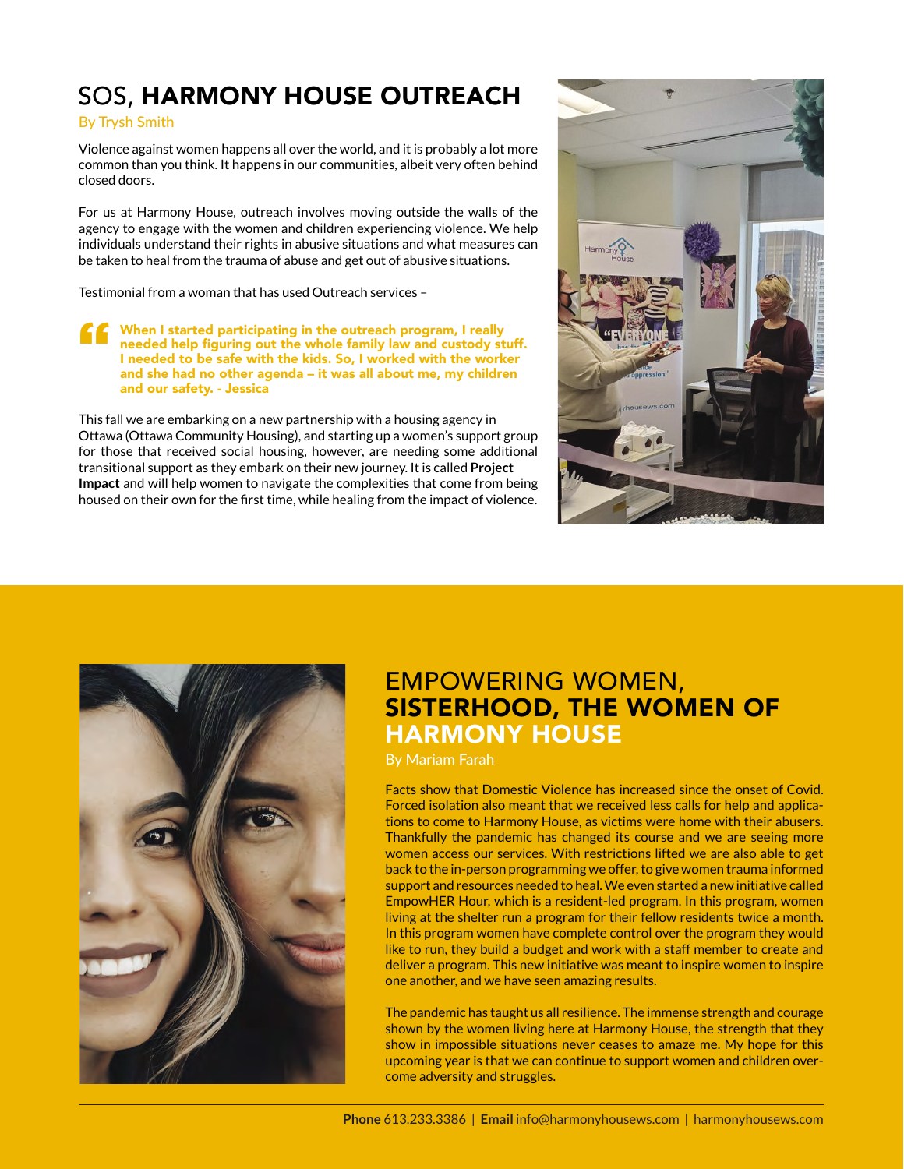# SOS, HARMONY HOUSE OUTREACH

### By Trysh Smith

Violence against women happens all over the world, and it is probably a lot more common than you think. It happens in our communities, albeit very often behind closed doors.

For us at Harmony House, outreach involves moving outside the walls of the agency to engage with the women and children experiencing violence. We help individuals understand their rights in abusive situations and what measures can be taken to heal from the trauma of abuse and get out of abusive situations.

Testimonial from a woman that has used Outreach services –

T<br>
When I started participating in the outreach program, I really<br>
needed help figuring out the whole family law and custody st<br>
l needed to be safe with the kids. So, I worked with the work<br>
with the wide needed help figuring out the whole family law and custody stuff. I needed to be safe with the kids. So, I worked with the worker and she had no other agenda – it was all about me, my children and our safety. - Jessica

This fall we are embarking on a new partnership with a housing agency in Ottawa (Ottawa Community Housing), and starting up a women's support group for those that received social housing, however, are needing some additional transitional support as they embark on their new journey. It is called **Project Impact** and will help women to navigate the complexities that come from being housed on their own for the first time, while healing from the impact of violence.





## EMPOWERING WOMEN, SISTERHOOD, THE WOMEN OF HARMONY HOUSE

By Mariam Farah

Facts show that Domestic Violence has increased since the onset of Covid. Forced isolation also meant that we received less calls for help and applications to come to Harmony House, as victims were home with their abusers. Thankfully the pandemic has changed its course and we are seeing more women access our services. With restrictions lifted we are also able to get back to the in-person programming we offer, to give women trauma informed support and resources needed to heal. We even started a new initiative called EmpowHER Hour, which is a resident-led program. In this program, women living at the shelter run a program for their fellow residents twice a month. In this program women have complete control over the program they would like to run, they build a budget and work with a staff member to create and deliver a program. This new initiative was meant to inspire women to inspire one another, and we have seen amazing results.

The pandemic has taught us all resilience. The immense strength and courage shown by the women living here at Harmony House, the strength that they show in impossible situations never ceases to amaze me. My hope for this upcoming year is that we can continue to support women and children overcome adversity and struggles.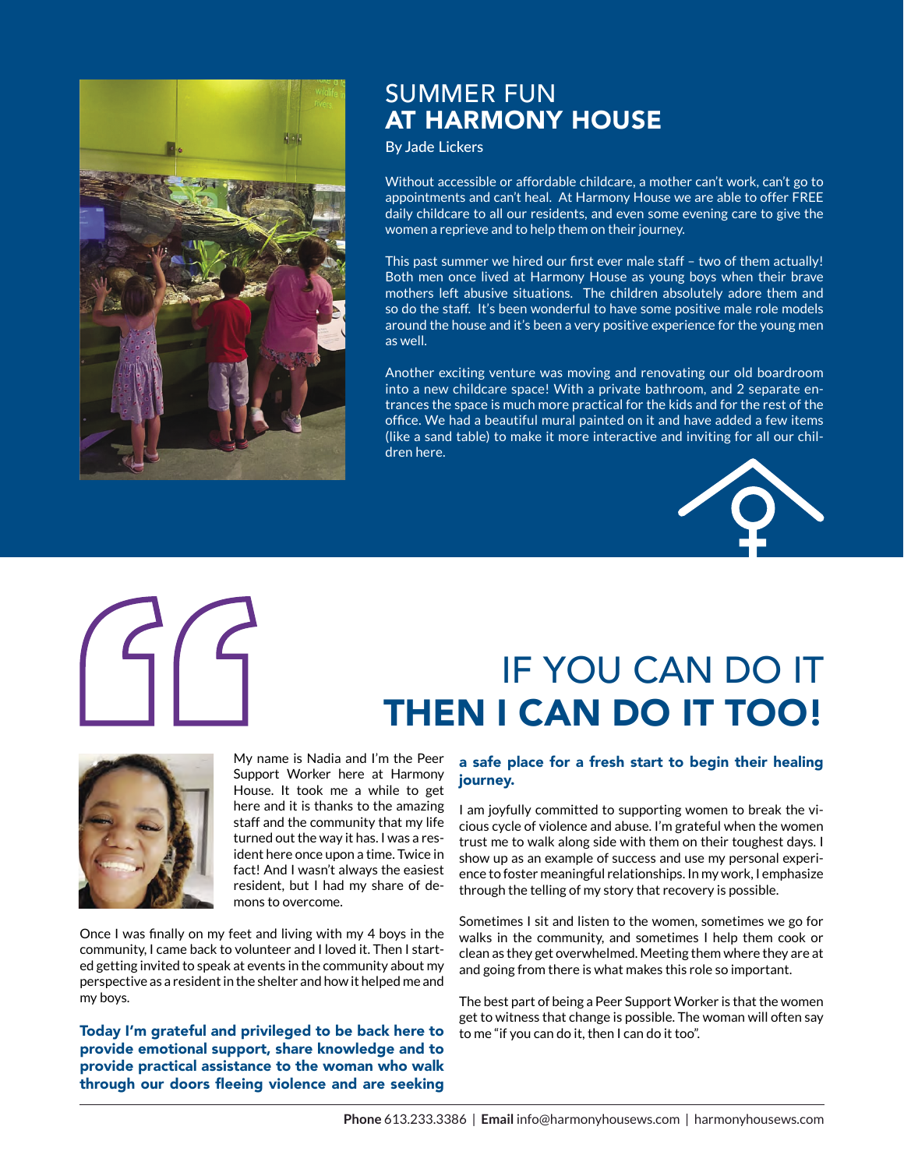

### SUMMER FUN AT HARMONY HOUSE

By Jade Lickers

Without accessible or affordable childcare, a mother can't work, can't go to appointments and can't heal. At Harmony House we are able to offer FREE daily childcare to all our residents, and even some evening care to give the women a reprieve and to help them on their journey.

This past summer we hired our first ever male staff – two of them actually! Both men once lived at Harmony House as young boys when their brave mothers left abusive situations. The children absolutely adore them and so do the staff. It's been wonderful to have some positive male role models around the house and it's been a very positive experience for the young men as well.

Another exciting venture was moving and renovating our old boardroom into a new childcare space! With a private bathroom, and 2 separate entrances the space is much more practical for the kids and for the rest of the office. We had a beautiful mural painted on it and have added a few items (like a sand table) to make it more interactive and inviting for all our children here.



# IF YOU CAN DO IT THEN I CAN DO IT TOO!



My name is Nadia and I'm the Peer Support Worker here at Harmony House. It took me a while to get here and it is thanks to the amazing staff and the community that my life turned out the way it has. I was a resident here once upon a time. Twice in fact! And I wasn't always the easiest resident, but I had my share of demons to overcome.

Once I was finally on my feet and living with my 4 boys in the community, I came back to volunteer and I loved it. Then I started getting invited to speak at events in the community about my perspective as a resident in the shelter and how it helped me and my boys.

Today I'm grateful and privileged to be back here to provide emotional support, share knowledge and to provide practical assistance to the woman who walk through our doors fleeing violence and are seeking

### a safe place for a fresh start to begin their healing journey.

I am joyfully committed to supporting women to break the vicious cycle of violence and abuse. I'm grateful when the women trust me to walk along side with them on their toughest days. I show up as an example of success and use my personal experience to foster meaningful relationships. In my work, I emphasize through the telling of my story that recovery is possible.

Sometimes I sit and listen to the women, sometimes we go for walks in the community, and sometimes I help them cook or clean as they get overwhelmed. Meeting them where they are at and going from there is what makes this role so important.

The best part of being a Peer Support Worker is that the women get to witness that change is possible. The woman will often say to me "if you can do it, then I can do it too".